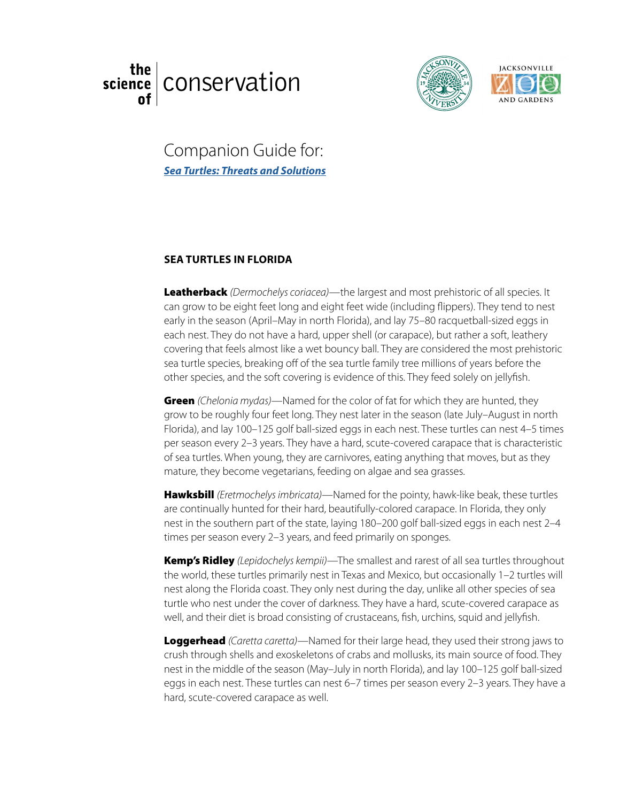# the. [conservation](http://welcome.ju.edu/thescienceof/) science





Companion Guide for:<br>Sea Turtles: Threats and Solutions *[Sea Turtles: Threats and Solutions](https://www.youtube.com/watch?v=IgkXlnqiVQE&feature=youtu.be)*

## **SEA TURTLES IN FLORIDA**

Leatherback *(Dermochelys coriacea)*—the largest and most prehistoric of all species. It can grow to be eight feet long and eight feet wide (including flippers). They tend to nest can grow to be eight feet long and eight feet wide (including flippers). They tend to nes<br>early in the season (April–May in north Florida), and lay 75–80 racquetball-sized eggs in each nest. They do not have a hard, upper shell (or carapace), but rather a soft, leathery covering that feels almost like a wet bouncy ball. They are considered the most prehistoric sea turtle species, breaking off of the sea turtle family tree millions of years before the other species, and the soft covering is evidence of this. They feed solely on jellyfish.

Green *(Chelonia mydas)*—Named for the color of fat for which they are hunted, they grow to be roughly four feet long. They nest later in the season (late July–August in north Florida), and lay 100–125 golf ball-sized eggs in each nest. These turtles can nest 4–5 times per season every 2–3 years. They have a hard, scute-covered carapace that is characteristic of sea turtles. When young, they are carnivores, eating anything that moves, but as they mature, they become vegetarians, feeding on algae and sea grasses.

Hawksbill *(Eretmochelys imbricata)*—Named for the pointy, hawk-like beak, these turtles are continually hunted for their hard, beautifully-colored carapace. In Florida, they only nest in the southern part of the state, laying 180–200 golf ball-sized eggs in each nest 2–4 times per season every 2–3 years, and feed primarily on sponges.

Kemp's Ridley *(Lepidochelys kempii)*—The smallest and rarest of all sea turtles throughout the world, these turtles primarily nest in Texas and Mexico, but occasionally 1–2 turtles will nest along the Florida coast. They only nest during the day, unlike all other species of sea turtle who nest under the cover of darkness. They have a hard, scute-covered carapace as well, and their diet is broad consisting of crustaceans, fish, urchins, squid and jellyfish.

Loggerhead *(Caretta caretta)*—Named for their large head, they used their strong jaws to crush through shells and exoskeletons of crabs and mollusks, its main source of food. They nest in the middle of the season (May–July in north Florida), and lay 100–125 golf ball-sized eggs in each nest. These turtles can nest 6–7 times per season every 2–3 years. They have a hard, scute-covered carapace as well.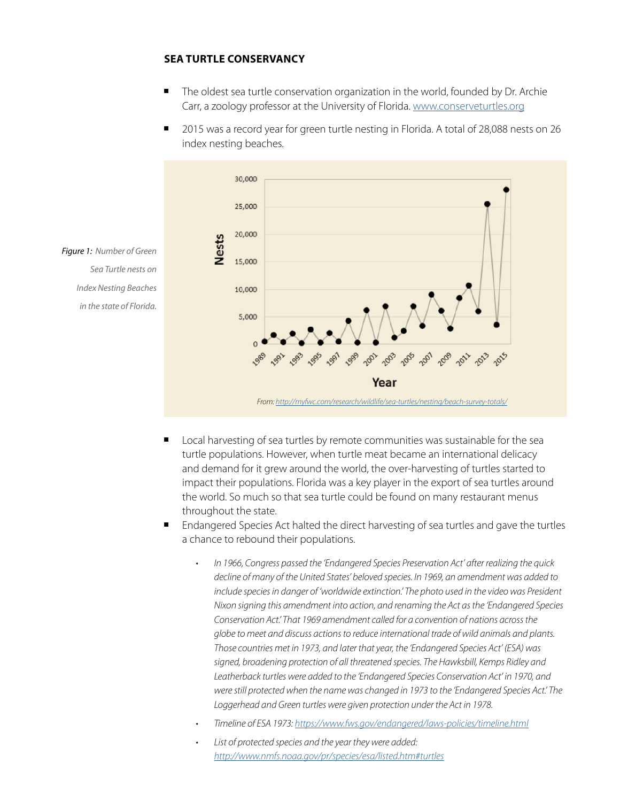#### **SEA TURTLE CONSERVANCY**

- The oldest sea turtle conservation organization in the world, founded by Dr. Archie Carr, a zoology professor at the University of Florida. [www.conserveturtles.org](http://www.conserveturtles.org/)
- 2015 was a record year for green turtle nesting in Florida. A total of 28,088 nests on 26 index nesting beaches.



*Figure 1: Number of Green Sea Turtle nests on Index Nesting Beaches in the state of Florida.*

- **n** Local harvesting of sea turtles by remote communities was sustainable for the sea turtle populations. However, when turtle meat became an international delicacy and demand for it grew around the world, the over-harvesting of turtles started to impact their populations. Florida was a key player in the export of sea turtles around the world. So much so that sea turtle could be found on many restaurant menus throughout the state.
- Endangered Species Act halted the direct harvesting of sea turtles and gave the turtles a chance to rebound their populations.
	- *• In 1966, Congress passed the 'Endangered Species Preservation Act' after realizing the quick decline of many of the United States' beloved species. In 1969, an amendment was added to include species in danger of 'worldwide extinction.' The photo used in the video was President Nixon signing this amendment into action, and renaming the Act as the 'Endangered Species Conservation Act.' That 1969 amendment called for a convention of nations across the globe to meet and discuss actions to reduce international trade of wild animals and plants. Those countries met in 1973, and later that year, the 'Endangered Species Act' (ESA) was signed, broadening protection of all threatened species. The Hawksbill, Kemps Ridley and Leatherback turtles were added to the 'Endangered Species Conservation Act' in 1970, and were still protected when the name was changed in 1973 to the 'Endangered Species Act.' The*  Loggerhead and Green turtles were given protection under the Act in 1978.
	- *• Timeline of ESA 1973:<https://www.fws.gov/endangered/laws-policies/timeline.html>*
	- *• List of protected species and the year they were added: <http://www.nmfs.noaa.gov/pr/species/esa/listed.htm#turtles>*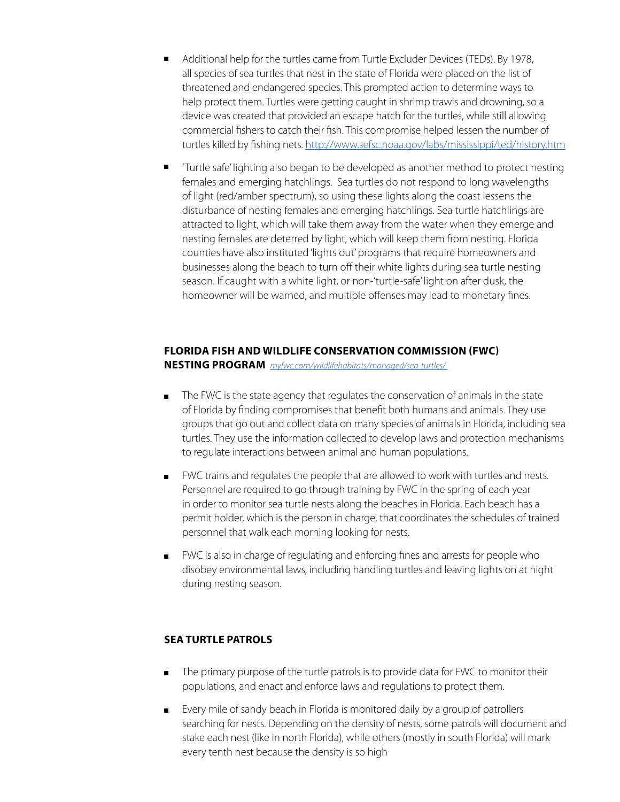- <sup>n</sup> Additional help for the turtles came from Turtle Excluder Devices (TEDs). By 1978, all species of sea turtles that nest in the state of Florida were placed on the list of threatened and endangered species. This prompted action to determine ways to help protect them. Turtles were getting caught in shrimp trawls and drowning, so a device was created that provided an escape hatch for the turtles, while still allowing commercial fishers to catch their fish. This compromise helped lessen the number of turtles killed by fishing nets. <http://www.sefsc.noaa.gov/labs/mississippi/ted/history.htm>
- 'Turtle safe' lighting also began to be developed as another method to protect nesting females and emerging hatchlings. Sea turtles do not respond to long wavelengths of light (red/amber spectrum), so using these lights along the coast lessens the disturbance of nesting females and emerging hatchlings. Sea turtle hatchlings are attracted to light, which will take them away from the water when they emerge and nesting females are deterred by light, which will keep them from nesting. Florida counties have also instituted 'lights out' programs that require homeowners and businesses along the beach to turn off their white lights during sea turtle nesting season. If caught with a white light, or non-'turtle-safe' light on after dusk, the homeowner will be warned, and multiple offenses may lead to monetary fines.

# **FLORIDA FISH AND WILDLIFE CONSERVATION COMMISSION (FWC)**

**NESTING PROGRAM** *[myfwc.com/wildlifehabitats/managed/sea-turtles/](http://myfwc.com/wildlifehabitats/managed/sea-turtles/)* 

- The FWC is the state agency that regulates the conservation of animals in the state of Florida by finding compromises that benefit both humans and animals. They use groups that go out and collect data on many species of animals in Florida, including sea turtles. They use the information collected to develop laws and protection mechanisms to regulate interactions between animal and human populations.
- **n** FWC trains and regulates the people that are allowed to work with turtles and nests. Personnel are required to go through training by FWC in the spring of each year in order to monitor sea turtle nests along the beaches in Florida. Each beach has a permit holder, which is the person in charge, that coordinates the schedules of trained personnel that walk each morning looking for nests.
- **FWC** is also in charge of regulating and enforcing fines and arrests for people who disobey environmental laws, including handling turtles and leaving lights on at night during nesting season.

### **SEA TURTLE PATROLS**

- n The primary purpose of the turtle patrols is to provide data for FWC to monitor their populations, and enact and enforce laws and regulations to protect them.
- <sup>n</sup> Every mile of sandy beach in Florida is monitored daily by a group of patrollers searching for nests. Depending on the density of nests, some patrols will document and stake each nest (like in north Florida), while others (mostly in south Florida) will mark every tenth nest because the density is so high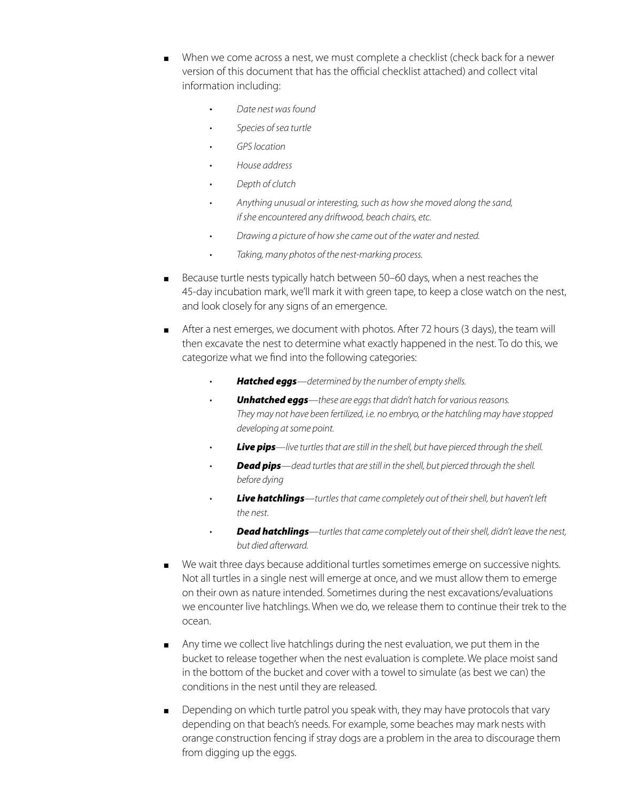- When we come across a nest, we must complete a checklist (check back for a newer version of this document that has the official checklist attached) and collect vital information including:
	- *Date nest was found*
	- *• Species of sea turtle*
	- *• GPS location*
	- *• House address*
	- *• Depth of clutch*
	- *• Anything unusual or interesting, such as how she moved along the sand, if she encountered any driftwood, beach chairs, etc.*
	- *• Drawing a picture of how she came out of the water and nested.*
	- *• Taking, many photos of the nest-marking process.*
- Because turtle nests typically hatch between 50–60 days, when a nest reaches the 45-day incubation mark, we'll mark it with green tape, to keep a close watch on the nest, and look closely for any signs of an emergence.
- n After a nest emerges, we document with photos. After 72 hours (3 days), the team will then excavate the nest to determine what exactly happened in the nest. To do this, we categorize what we find into the following categories:
	- *• Hatched eggs—determined by the number of empty shells.*
	- *• Unhatched eggs—these are eggs that didn't hatch for various reasons. They may not have been fertilized, i.e. no embryo, or the hatchling may have stopped developing at some point.*
	- *• Live pips—live turtles that are still in the shell, but have pierced through the shell.*
	- *• Dead pips—dead turtles that are still in the shell, but pierced through the shell. before dying*
	- *• Live hatchlings—turtles that came completely out of their shell, but haven't left the nest.*
	- *• Dead hatchlings—turtles that came completely out of their shell, didn't leave the nest, but died afterward.*
- <sup>n</sup> We wait three days because additional turtles sometimes emerge on successive nights. Not all turtles in a single nest will emerge at once, and we must allow them to emerge on their own as nature intended. Sometimes during the nest excavations/evaluations we encounter live hatchlings. When we do, we release them to continue their trek to the ocean.
- n Any time we collect live hatchlings during the nest evaluation, we put them in the bucket to release together when the nest evaluation is complete. We place moist sand in the bottom of the bucket and cover with a towel to simulate (as best we can) the conditions in the nest until they are released.
- n Depending on which turtle patrol you speak with, they may have protocols that vary depending on that beach's needs. For example, some beaches may mark nests with orange construction fencing if stray dogs are a problem in the area to discourage them from digging up the eggs.